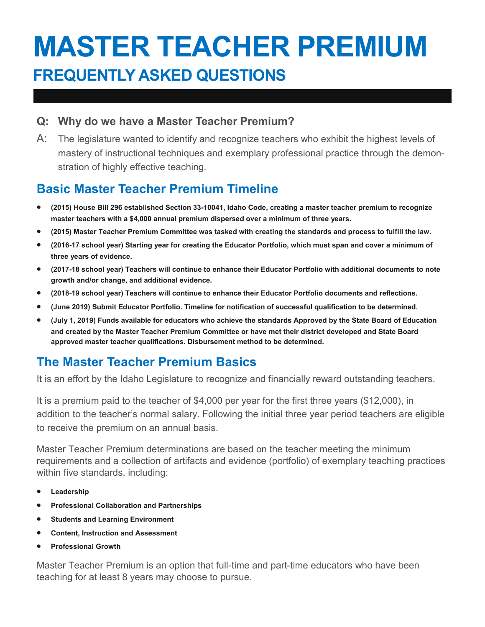# **MASTER TEACHER PREMIUM FREQUENTLY ASKED QUESTIONS**

#### **Q: Why do we have a Master Teacher Premium?**

A: The legislature wanted to identify and recognize teachers who exhibit the highest levels of mastery of instructional techniques and exemplary professional practice through the demonstration of highly effective teaching.

# **Basic Master Teacher Premium Timeline**

- **(2015) House Bill 296 established Section 33-10041, Idaho Code, creating a master teacher premium to recognize master teachers with a \$4,000 annual premium dispersed over a minimum of three years.**
- **(2015) Master Teacher Premium Committee was tasked with creating the standards and process to fulfill the law.**
- **(2016-17 school year) Starting year for creating the Educator Portfolio, which must span and cover a minimum of three years of evidence.**
- **(2017-18 school year) Teachers will continue to enhance their Educator Portfolio with additional documents to note growth and/or change, and additional evidence.**
- **(2018-19 school year) Teachers will continue to enhance their Educator Portfolio documents and reflections.**
- **(June 2019) Submit Educator Portfolio. Timeline for notification of successful qualification to be determined.**
- **(July 1, 2019) Funds available for educators who achieve the standards Approved by the State Board of Education and created by the Master Teacher Premium Committee or have met their district developed and State Board approved master teacher qualifications. Disbursement method to be determined.**

# **The Master Teacher Premium Basics**

It is an effort by the Idaho Legislature to recognize and financially reward outstanding teachers.

It is a premium paid to the teacher of \$4,000 per year for the first three years (\$12,000), in addition to the teacher's normal salary. Following the initial three year period teachers are eligible to receive the premium on an annual basis.

Master Teacher Premium determinations are based on the teacher meeting the minimum requirements and a collection of artifacts and evidence (portfolio) of exemplary teaching practices within five standards, including:

- **Leadership**
- **Professional Collaboration and Partnerships**
- **•** Students and Learning Environment
- **Content, Instruction and Assessment**
- **Professional Growth**

Master Teacher Premium is an option that full-time and part-time educators who have been teaching for at least 8 years may choose to pursue.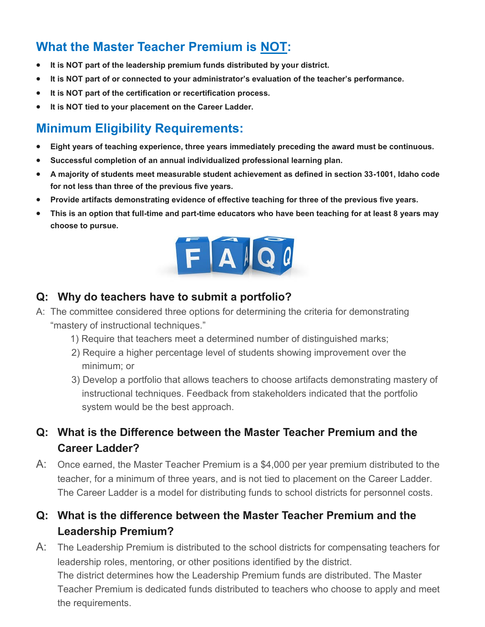# **What the Master Teacher Premium is NOT:**

- **It is NOT part of the leadership premium funds distributed by your district.**
- **It is NOT part of or connected to your administrator's evaluation of the teacher's performance.**
- **It is NOT part of the certification or recertification process.**
- **It is NOT tied to your placement on the Career Ladder.**

## **Minimum Eligibility Requirements:**

- **Eight years of teaching experience, three years immediately preceding the award must be continuous.**
- **Successful completion of an annual individualized professional learning plan.**
- **A majority of students meet measurable student achievement as defined in section 33-1001, Idaho code for not less than three of the previous five years.**
- **Provide artifacts demonstrating evidence of effective teaching for three of the previous five years.**
- **This is an option that full-time and part-time educators who have been teaching for at least 8 years may choose to pursue.**



#### **Q: Why do teachers have to submit a portfolio?**

- A: The committee considered three options for determining the criteria for demonstrating "mastery of instructional techniques."
	- 1) Require that teachers meet a determined number of distinguished marks;
	- 2) Require a higher percentage level of students showing improvement over the minimum; or
	- 3) Develop a portfolio that allows teachers to choose artifacts demonstrating mastery of instructional techniques. Feedback from stakeholders indicated that the portfolio system would be the best approach.
- **Q: What is the Difference between the Master Teacher Premium and the Career Ladder?**
- A: Once earned, the Master Teacher Premium is a \$4,000 per year premium distributed to the teacher, for a minimum of three years, and is not tied to placement on the Career Ladder. The Career Ladder is a model for distributing funds to school districts for personnel costs.

#### **Q: What is the difference between the Master Teacher Premium and the Leadership Premium?**

A: The Leadership Premium is distributed to the school districts for compensating teachers for leadership roles, mentoring, or other positions identified by the district. The district determines how the Leadership Premium funds are distributed. The Master Teacher Premium is dedicated funds distributed to teachers who choose to apply and meet the requirements.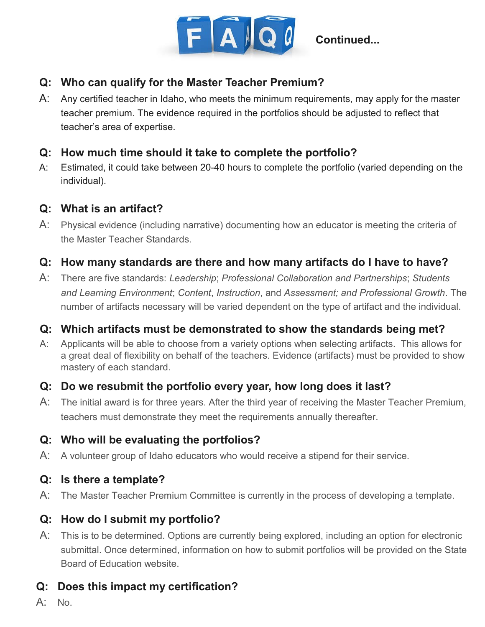

#### **Q: Who can qualify for the Master Teacher Premium?**

A: Any certified teacher in Idaho, who meets the minimum requirements, may apply for the master teacher premium. The evidence required in the portfolios should be adjusted to reflect that teacher's area of expertise.

#### **Q: How much time should it take to complete the portfolio?**

A: Estimated, it could take between 20-40 hours to complete the portfolio (varied depending on the individual).

#### **Q: What is an artifact?**

A: Physical evidence (including narrative) documenting how an educator is meeting the criteria of the Master Teacher Standards.

#### **Q: How many standards are there and how many artifacts do I have to have?**

A: There are five standards: *Leadership*; *Professional Collaboration and Partnerships*; *Students and Learning Environment*; *Content*, *Instruction*, and *Assessment; and Professional Growth*. The number of artifacts necessary will be varied dependent on the type of artifact and the individual.

#### **Q: Which artifacts must be demonstrated to show the standards being met?**

A: Applicants will be able to choose from a variety options when selecting artifacts. This allows for a great deal of flexibility on behalf of the teachers. Evidence (artifacts) must be provided to show mastery of each standard.

#### **Q: Do we resubmit the portfolio every year, how long does it last?**

A: The initial award is for three years. After the third year of receiving the Master Teacher Premium, teachers must demonstrate they meet the requirements annually thereafter.

#### **Q: Who will be evaluating the portfolios?**

A: A volunteer group of Idaho educators who would receive a stipend for their service.

#### **Q: Is there a template?**

A: The Master Teacher Premium Committee is currently in the process of developing a template.

### **Q: How do I submit my portfolio?**

A: This is to be determined. Options are currently being explored, including an option for electronic submittal. Once determined, information on how to submit portfolios will be provided on the State Board of Education website.

### **Q: Does this impact my certification?**

 $A:$  No.